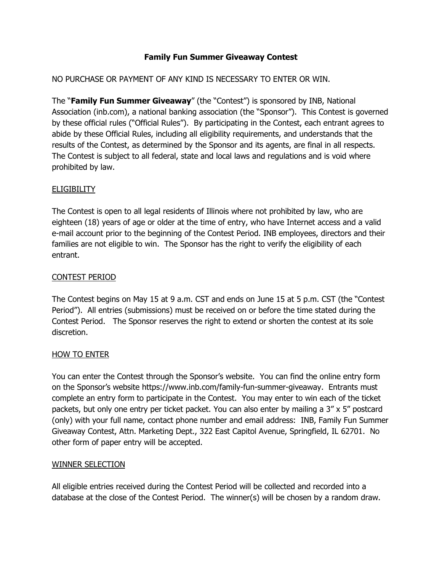#### **Family Fun Summer Giveaway Contest**

### NO PURCHASE OR PAYMENT OF ANY KIND IS NECESSARY TO ENTER OR WIN.

The "**Family Fun Summer Giveaway**" (the "Contest") is sponsored by INB, National Association (inb.com), a national banking association (the "Sponsor"). This Contest is governed by these official rules ("Official Rules"). By participating in the Contest, each entrant agrees to abide by these Official Rules, including all eligibility requirements, and understands that the results of the Contest, as determined by the Sponsor and its agents, are final in all respects. The Contest is subject to all federal, state and local laws and regulations and is void where prohibited by law.

#### **ELIGIBILITY**

The Contest is open to all legal residents of Illinois where not prohibited by law, who are eighteen (18) years of age or older at the time of entry, who have Internet access and a valid e-mail account prior to the beginning of the Contest Period. INB employees, directors and their families are not eligible to win. The Sponsor has the right to verify the eligibility of each entrant.

## CONTEST PERIOD

The Contest begins on May 15 at 9 a.m. CST and ends on June 15 at 5 p.m. CST (the "Contest Period"). All entries (submissions) must be received on or before the time stated during the Contest Period. The Sponsor reserves the right to extend or shorten the contest at its sole discretion.

#### HOW TO ENTER

You can enter the Contest through the Sponsor's website. You can find the online entry form on the Sponsor's website https://www.inb.com/family-fun-summer-giveaway. Entrants must complete an entry form to participate in the Contest. You may enter to win each of the ticket packets, but only one entry per ticket packet. You can also enter by mailing a 3" x 5" postcard (only) with your full name, contact phone number and email address: INB, Family Fun Summer Giveaway Contest, Attn. Marketing Dept., 322 East Capitol Avenue, Springfield, IL 62701. No other form of paper entry will be accepted.

#### WINNER SELECTION

All eligible entries received during the Contest Period will be collected and recorded into a database at the close of the Contest Period. The winner(s) will be chosen by a random draw.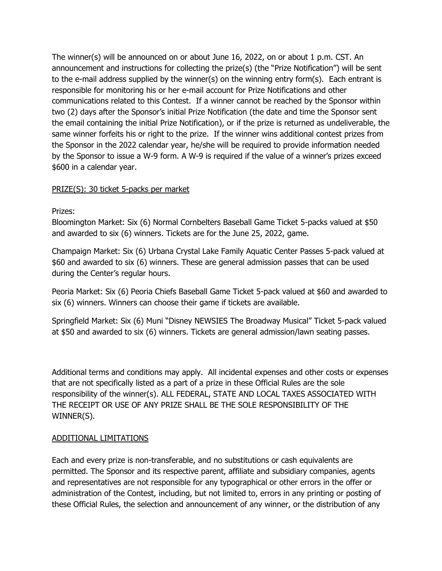The winner(s) will be announced on or about June 16, 2022, on or about 1 p.m. CST. An announcement and instructions for collecting the prize(s) (the "Prize Notification") will be sent to the e-mail address supplied by the winner(s) on the winning entry form(s). Each entrant is responsible for monitoring his or her e-mail account for Prize Notifications and other communications related to this Contest. If a winner cannot be reached by the Sponsor within two (2) days after the Sponsor's initial Prize Notification (the date and time the Sponsor sent the email containing the initial Prize Notification), or if the prize is returned as undeliverable, the same winner forfeits his or right to the prize. If the winner wins additional contest prizes from the Sponsor in the 2022 calendar year, he/she will be required to provide information needed by the Sponsor to issue a W-9 form. A W-9 is required if the value of a winner's prizes exceed \$600 in a calendar year.

## PRIZE(S): 30 ticket 5-packs per market

#### Prizes:

Bloomington Market: Six (6) Normal Cornbelters Baseball Game Ticket 5-packs valued at \$50 and awarded to six (6) winners. Tickets are for the June 25, 2022, game.

Champaign Market: Six (6) Urbana Crystal Lake Family Aquatic Center Passes 5-pack valued at \$60 and awarded to six (6) winners. These are general admission passes that can be used during the Center's regular hours.

Peoria Market: Six (6) Peoria Chiefs Baseball Game Ticket 5-pack valued at \$60 and awarded to six (6) winners. Winners can choose their game if tickets are available.

Springfield Market: Six (6) Muni "Disney NEWSIES The Broadway Musical" Ticket 5-pack valued at \$50 and awarded to six (6) winners. Tickets are general admission/lawn seating passes.

Additional terms and conditions may apply. All incidental expenses and other costs or expenses that are not specifically listed as a part of a prize in these Official Rules are the sole responsibility of the winner(s). ALL FEDERAL, STATE AND LOCAL TAXES ASSOCIATED WITH THE RECEIPT OR USE OF ANY PRIZE SHALL BE THE SOLE RESPONSIBILITY OF THE WINNER(S).

#### ADDITIONAL LIMITATIONS

Each and every prize is non-transferable, and no substitutions or cash equivalents are permitted. The Sponsor and its respective parent, affiliate and subsidiary companies, agents and representatives are not responsible for any typographical or other errors in the offer or administration of the Contest, including, but not limited to, errors in any printing or posting of these Official Rules, the selection and announcement of any winner, or the distribution of any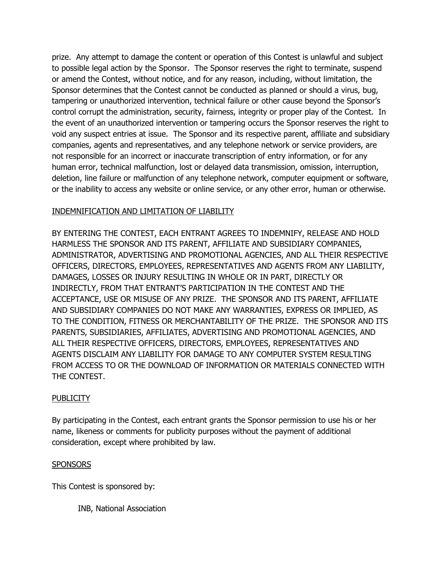prize. Any attempt to damage the content or operation of this Contest is unlawful and subject to possible legal action by the Sponsor. The Sponsor reserves the right to terminate, suspend or amend the Contest, without notice, and for any reason, including, without limitation, the Sponsor determines that the Contest cannot be conducted as planned or should a virus, bug, tampering or unauthorized intervention, technical failure or other cause beyond the Sponsor's control corrupt the administration, security, fairness, integrity or proper play of the Contest. In the event of an unauthorized intervention or tampering occurs the Sponsor reserves the right to void any suspect entries at issue. The Sponsor and its respective parent, affiliate and subsidiary companies, agents and representatives, and any telephone network or service providers, are not responsible for an incorrect or inaccurate transcription of entry information, or for any human error, technical malfunction, lost or delayed data transmission, omission, interruption, deletion, line failure or malfunction of any telephone network, computer equipment or software, or the inability to access any website or online service, or any other error, human or otherwise.

## INDEMNIFICATION AND LIMITATION OF LIABILITY

BY ENTERING THE CONTEST, EACH ENTRANT AGREES TO INDEMNIFY, RELEASE AND HOLD HARMLESS THE SPONSOR AND ITS PARENT, AFFILIATE AND SUBSIDIARY COMPANIES, ADMINISTRATOR, ADVERTISING AND PROMOTIONAL AGENCIES, AND ALL THEIR RESPECTIVE OFFICERS, DIRECTORS, EMPLOYEES, REPRESENTATIVES AND AGENTS FROM ANY LIABILITY, DAMAGES, LOSSES OR INJURY RESULTING IN WHOLE OR IN PART, DIRECTLY OR INDIRECTLY, FROM THAT ENTRANT'S PARTICIPATION IN THE CONTEST AND THE ACCEPTANCE, USE OR MISUSE OF ANY PRIZE. THE SPONSOR AND ITS PARENT, AFFILIATE AND SUBSIDIARY COMPANIES DO NOT MAKE ANY WARRANTIES, EXPRESS OR IMPLIED, AS TO THE CONDITION, FITNESS OR MERCHANTABILITY OF THE PRIZE. THE SPONSOR AND ITS PARENTS, SUBSIDIARIES, AFFILIATES, ADVERTISING AND PROMOTIONAL AGENCIES, AND ALL THEIR RESPECTIVE OFFICERS, DIRECTORS, EMPLOYEES, REPRESENTATIVES AND AGENTS DISCLAIM ANY LIABILITY FOR DAMAGE TO ANY COMPUTER SYSTEM RESULTING FROM ACCESS TO OR THE DOWNLOAD OF INFORMATION OR MATERIALS CONNECTED WITH THE CONTEST.

#### **PUBLICITY**

By participating in the Contest, each entrant grants the Sponsor permission to use his or her name, likeness or comments for publicity purposes without the payment of additional consideration, except where prohibited by law.

#### SPONSORS

This Contest is sponsored by:

INB, National Association